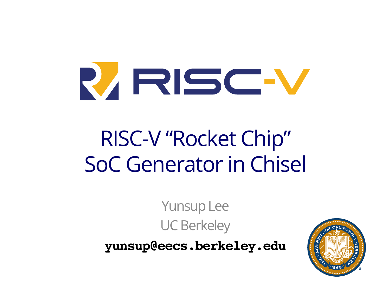

# RISC-V "Rocket Chip" SoC Generator in Chisel

Yunsup Lee UC Berkeley

**yunsup@eecs.berkeley.edu**

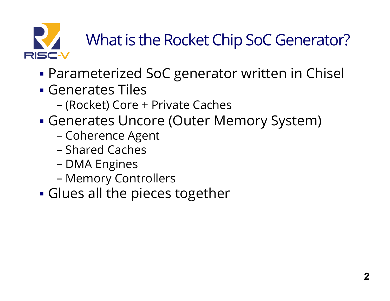

# What is the Rocket Chip SoC Generator?

- **Parameterized SoC generator written in Chisel**
- ! Generates Tiles
	- (Rocket) Core + Private Caches
- ! Generates Uncore (Outer Memory System)
	- Coherence Agent
	- Shared Caches
	- DMA Engines
	- Memory Controllers
- **Glues all the pieces together**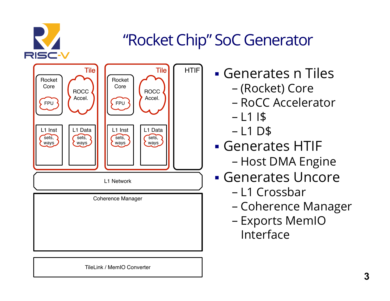

### "Rocket Chip" SoC Generator



! Generates n Tiles

- (Rocket) Core
- RoCC Accelerator
- $1115$
- $-L1$  D\$
- ! Generates HTIF - Host DMA Engine
- ! Generates Uncore
	- L1 Crossbar
	- Coherence Manager
	- Exports MemIO Interface

TileLink / MemIO Converter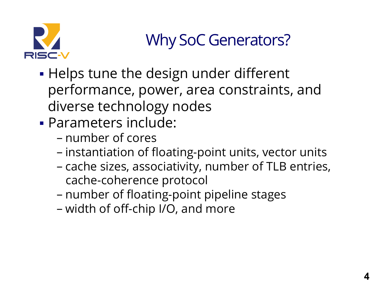

# Why SoC Generators?

- **.** Helps tune the design under different performance, power, area constraints, and diverse technology nodes
- ! Parameters include:
	- number of cores
	- instantiation of floating-point units, vector units
	- cache sizes, associativity, number of TLB entries, cache-coherence protocol
	- number of floating-point pipeline stages
	- width of off-chip I/O, and more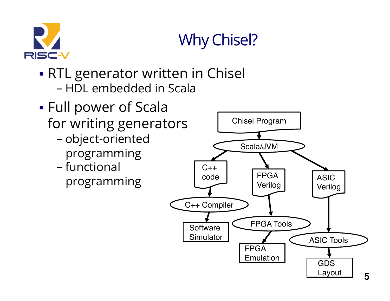

# Why Chisel?

- **RTL generator written in Chisel** - HDL embedded in Scala
- ! Full power of Scala for writing generators
	- object-oriented programming
	- functional programming

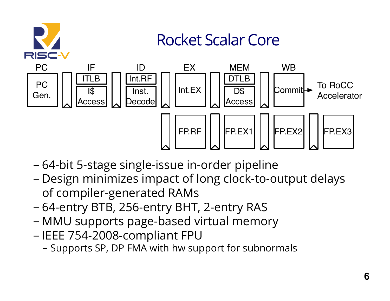

- 64-bit 5-stage single-issue in-order pipeline
- Design minimizes impact of long clock-to-output delays of compiler-generated RAMs  $\cdot$  o $\cdot$  o ES IIII - Design minimizes impact of long clock-.<br>. . . . . . . ach delays
- 64-entry BTB, 256-entry BHT, 2-entry RAS
- MMU supports page-based virtual memory
- IEEE 754-2008-compliant FPU
	- Supports SP, DP FMA with hw support for subnormals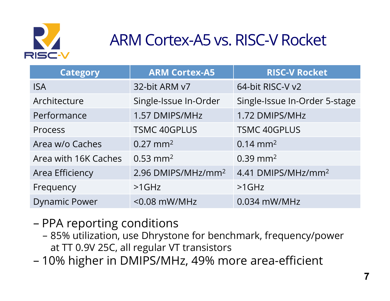

# ARM Cortex-A5 vs. RISC-V Rocket

| <b>Category</b>      | <b>ARM Cortex-A5</b>           | <b>RISC-V Rocket</b>           |
|----------------------|--------------------------------|--------------------------------|
| <b>ISA</b>           | 32-bit ARM v7                  | 64-bit RISC-V v2               |
| Architecture         | Single-Issue In-Order          | Single-Issue In-Order 5-stage  |
| Performance          | 1.57 DMIPS/MHz                 | 1.72 DMIPS/MHz                 |
| Process              | <b>TSMC 40GPLUS</b>            | <b>TSMC 40GPLUS</b>            |
| Area w/o Caches      | $0.27$ mm <sup>2</sup>         | $0.14 \text{ mm}^2$            |
| Area with 16K Caches | $0.53$ mm <sup>2</sup>         | $0.39$ mm <sup>2</sup>         |
| Area Efficiency      | 2.96 DMIPS/MHz/mm <sup>2</sup> | 4.41 DMIPS/MHz/mm <sup>2</sup> |
| Frequency            | $>1$ GHz                       | $>1$ GHz                       |
| <b>Dynamic Power</b> | $<$ 0.08 mW/MHz                | $0.034$ mW/MHz                 |

- PPA reporting conditions
	- 85% utilization, use Dhrystone for benchmark, frequency/power at TT 0.9V 25C, all regular VT transistors
- 10% higher in DMIPS/MHz, 49% more area-efficient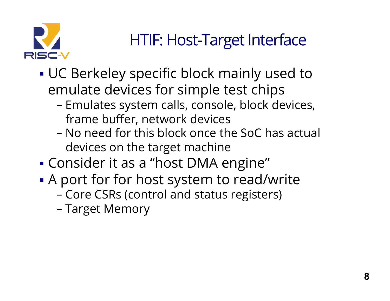

### HTIF: Host-Target Interface

- ! UC Berkeley specific block mainly used to emulate devices for simple test chips
	- Emulates system calls, console, block devices, frame buffer, network devices
	- No need for this block once the SoC has actual devices on the target machine
- ! Consider it as a "host DMA engine"
- . A port for for host system to read/write
	- Core CSRs (control and status registers)
	- Target Memory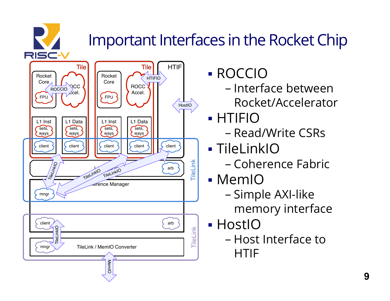# Important Interfaces in the Rocket Chip



- ! ROCCIO
	- Interface between Rocket/Accelerator
- ! HTIFIO
	- Read/Write CSRs
- **TileLinkIO** 
	- Coherence Fabric
- ! MemIO
	- Simple AXI-like memory interface
- **.** HostIO
	- Host Interface to HTIF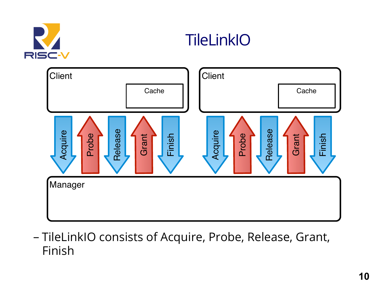

#### **TileLinkIO**



- TileLinkIO consists of Acquire, Probe, Release, Grant, Finish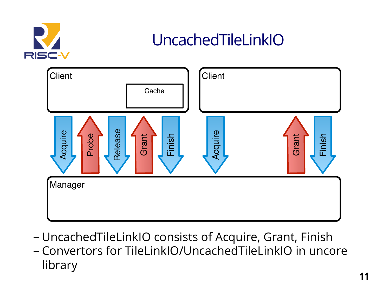

#### UncachedTileLinkIO



- UncachedTileLinkIO consists of Acquire, Grant, Finish
- Convertors for TileLinkIO/UncachedTileLinkIO in uncore library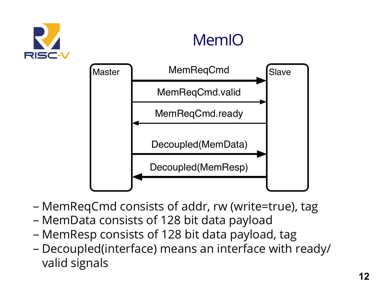

#### MemIO



- MemReqCmd consists of addr, rw (write=true), tag
- MemData consists of 128 bit data payload
- MemResp consists of 128 bit data payload, tag
- Decoupled(interface) means an interface with ready/ valid signals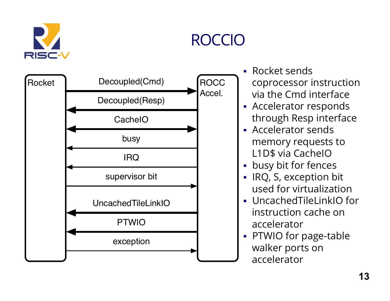

#### ROCCIO

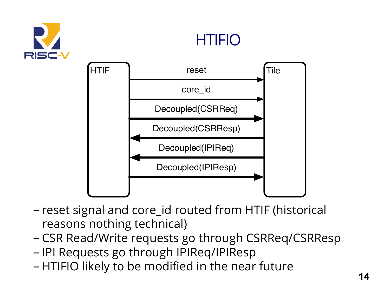





- reset signal and core\_id routed from HTIF (historical reasons nothing technical)
- CSR Read/Write requests go through CSRReq/CSRResp
- IPI Requests go through IPIReq/IPIResp
- HTIFIO likely to be modified in the near future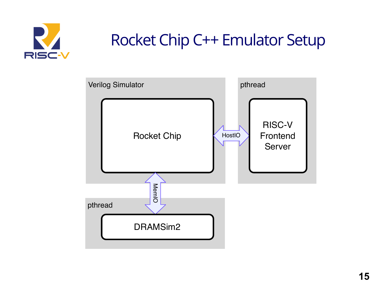

#### Rocket Chip C++ Emulator Setup

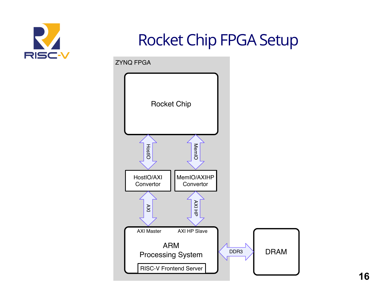

#### Rocket Chip FPGA Setup

ZYNQ FPGA

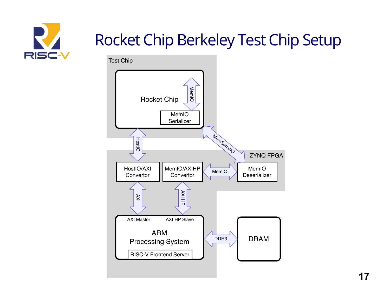

# Rocket Chip Berkeley Test Chip Setup

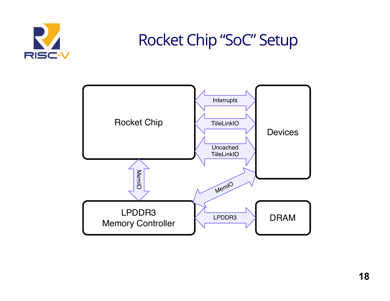

#### Rocket Chip "SoC" Setup

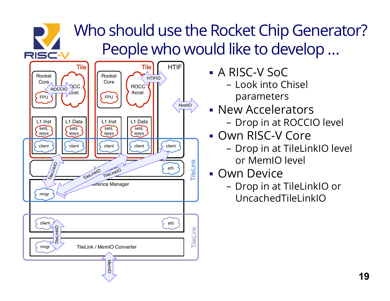#### Who should use the Rocket Chip Generator? People who would like to develop …



RISC-V

- ! A RISC-V SoC
	- Look into Chisel parameters
- **New Accelerators** 
	- Drop in at ROCCIO level
- **Own RISC-V Core** 
	- Drop in at TileLinkIO level or MemIO level
- **Own Device** 
	- Drop in at TileLinkIO or UncachedTileLinkIO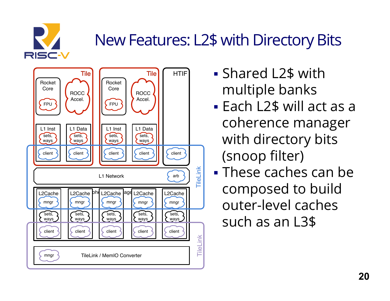

# New Features: L2\$ with Directory Bits



- ! Shared L2\$ with multiple banks
- ! Each L2\$ will act as a coherence manager with directory bits (snoop filter)
- ! These caches can be composed to build outer-level caches such as an L3\$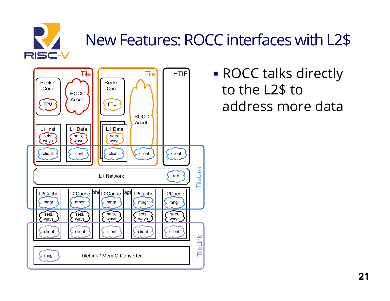

# New Features: ROCC interfaces with L2\$



**ROCC talks directly** to the L2\$ to address more data